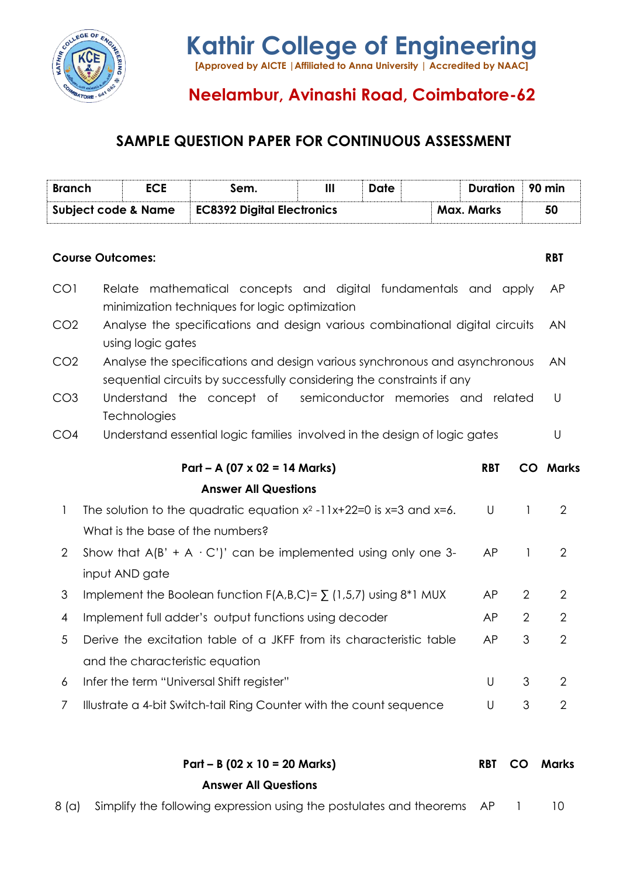

# **Neelambur, Avinashi Road, Coimbatore-62**

## **SAMPLE QUESTION PAPER FOR CONTINUOUS ASSESSMENT**

| <b>Branch</b>                                                                                                                                                           |                                                                                                                      | <b>ECE</b>   | Sem.                                                                      | III                        | <b>Date</b> |                   | <b>Duration</b> |                | 90 min          |
|-------------------------------------------------------------------------------------------------------------------------------------------------------------------------|----------------------------------------------------------------------------------------------------------------------|--------------|---------------------------------------------------------------------------|----------------------------|-------------|-------------------|-----------------|----------------|-----------------|
| <b>Subject code &amp; Name</b>                                                                                                                                          |                                                                                                                      |              | <b>EC8392 Digital Electronics</b>                                         |                            |             | <b>Max. Marks</b> |                 | 50             |                 |
| <b>Course Outcomes:</b>                                                                                                                                                 |                                                                                                                      |              |                                                                           |                            |             |                   |                 |                | <b>RBT</b>      |
| CO <sub>1</sub>                                                                                                                                                         | mathematical concepts and digital fundamentals and apply<br>Relate<br>minimization techniques for logic optimization |              |                                                                           |                            |             |                   |                 |                | AP              |
| CO <sub>2</sub>                                                                                                                                                         | Analyse the specifications and design various combinational digital circuits<br>using logic gates                    |              |                                                                           |                            |             |                   |                 |                | <b>AN</b>       |
| Analyse the specifications and design various synchronous and asynchronous<br>CO <sub>2</sub><br>sequential circuits by successfully considering the constraints if any |                                                                                                                      |              |                                                                           |                            |             |                   |                 |                | <b>AN</b>       |
| CO <sub>3</sub>                                                                                                                                                         |                                                                                                                      | Technologies | Understand the concept of                                                 | semiconductor memories and |             |                   |                 | related        | U               |
| CO <sub>4</sub>                                                                                                                                                         |                                                                                                                      |              | Understand essential logic families involved in the design of logic gates |                            |             |                   |                 |                | U               |
|                                                                                                                                                                         |                                                                                                                      |              | $Part - A (07 \times 02 = 14 Marks)$                                      |                            |             |                   | <b>RBT</b>      |                | <b>CO</b> Marks |
|                                                                                                                                                                         |                                                                                                                      |              | <b>Answer All Questions</b>                                               |                            |             |                   |                 |                |                 |
| 1                                                                                                                                                                       | The solution to the quadratic equation $x^2$ -11x+22=0 is $x=3$ and $x=6$ .<br>What is the base of the numbers?      |              |                                                                           |                            |             |                   | U               | 1              | $\overline{2}$  |
| $\overline{2}$                                                                                                                                                          | Show that $A(B' + A \cdot C')'$ can be implemented using only one 3-<br>input AND gate                               |              |                                                                           |                            |             | AP                | 1               | $\overline{2}$ |                 |
|                                                                                                                                                                         |                                                                                                                      |              |                                                                           |                            |             |                   |                 | $\overline{2}$ | $\overline{2}$  |
| 3                                                                                                                                                                       |                                                                                                                      |              | Implement the Boolean function $F(A,B,C) = \sum (1,5,7)$ using $8*1$ MUX  |                            |             |                   | AP              |                |                 |
| 4                                                                                                                                                                       |                                                                                                                      |              | Implement full adder's output functions using decoder                     |                            |             |                   | AP              | $\overline{2}$ | $\overline{2}$  |
| 5                                                                                                                                                                       |                                                                                                                      |              | Derive the excitation table of a JKFF from its characteristic table       |                            |             |                   | AP              | 3              | $\overline{2}$  |
|                                                                                                                                                                         |                                                                                                                      |              | and the characteristic equation                                           |                            |             |                   |                 |                |                 |
| 6                                                                                                                                                                       |                                                                                                                      |              | Infer the term "Universal Shift register"                                 |                            |             |                   | U               | 3              | $\overline{2}$  |
| 7                                                                                                                                                                       |                                                                                                                      |              | Illustrate a 4-bit Switch-tail Ring Counter with the count sequence       |                            |             |                   | U               | 3              | $\overline{2}$  |
|                                                                                                                                                                         |                                                                                                                      |              |                                                                           |                            |             |                   |                 |                |                 |
|                                                                                                                                                                         |                                                                                                                      |              | $Part - B (02 \times 10 = 20$ Marks)                                      |                            |             |                   | <b>RBT</b>      | <b>CO</b>      | Marks           |

**Answer All Questions**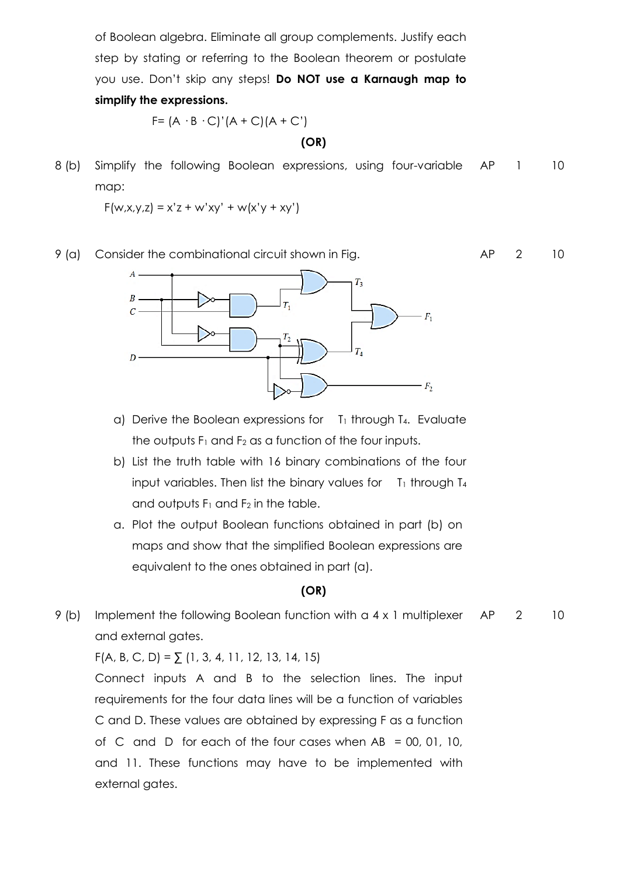of Boolean algebra. Eliminate all group complements. Justify each step by stating or referring to the Boolean theorem or postulate you use. Don't skip any steps! **Do NOT use a Karnaugh map to simplify the expressions.**

$$
F = (A \cdot B \cdot C)'(A + C)(A + C')
$$

#### **(OR)**

8 (b) Simplify the following Boolean expressions, using four-variable map: AP 1 10

 $F(w, x, y, z) = x'z + w'xy' + w(x'y + xy')$ 





- a) Derive the Boolean expressions for  $T_1$  through T<sub>4</sub>. Evaluate the outputs  $F_1$  and  $F_2$  as a function of the four inputs.
- b) List the truth table with 16 binary combinations of the four input variables. Then list the binary values for  $T_1$  through  $T_4$ and outputs  $F_1$  and  $F_2$  in the table.
- a. Plot the output Boolean functions obtained in part (b) on maps and show that the simplified Boolean expressions are equivalent to the ones obtained in part (a).

#### **(OR)**

9 (b) Implement the following Boolean function with a 4 x 1 multiplexer and external gates. AP 2 10

 $F(A, B, C, D) = \sum (1, 3, 4, 11, 12, 13, 14, 15)$ 

Connect inputs A and B to the selection lines. The input requirements for the four data lines will be a function of variables C and D. These values are obtained by expressing F as a function of C and D for each of the four cases when AB = 00, 01, 10, and 11. These functions may have to be implemented with external gates.